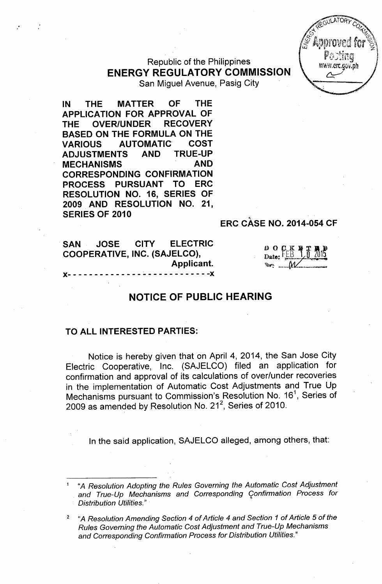Republic of the Philippines ENERGY REGULATORY COMMISSION

San Miguel Avenue, Pasig City

IN THE MATTER OF THE APPLICATION FOR APPROVAL OF THE OVER/UNDER RECOVERY BASED ON THE FORMULA ON THE VARIOUS AUTOMATIC COST<br>ADJUSTMENTS AND TRUE-UP ADJUSTMENTS AND MECHANISMS AND CORRESPONDING CONFIRMATION PROCESS PURSUANT TO ERC RESOLUTION NO. 16, SERIES OF 2009 AND RESOLUTION NO. 21, SERIES OF 2010

## ERC CASE NO. 2014-054 CF

.SAN JOSE CITY ELECTRIC COOPERATIVE, INC. (SAJELCO), Applicant.  $- - - -$ 

## $\circ$  o ck is if if  $_{\tt state}$  FEB  $_{\tt}$  1,0  $\it$  2015 Date. <sup>~</sup>'g""''"' ........•\_ ~.• • •••••••• \_ •••••••••••••• <sup>8</sup> ••--..r

## NOTICE OF PUBLIC HEARING

## TO ALL INTERESTED PARTIES:

Notice is hereby given that on April 4, 2014, the San Jose City Electric Cooperative, Inc. (SAJELCO) filed an application for confirmation and approval of its calculations of over/under recoveries in the implementation of Automatic Cost Adjustments and True Up Mechanisms pursuant to Commission's Resolution No. 16<sup>1</sup>, Series of 2009 as amended by Resolution No. 21 $^{\rm 2}$ , Series of 2010

In the said application, SAJELCO alleged, among others, that:

<sup>1</sup> *"A Resolution Adopting the Rules Governing the Automatic Cost Adjustment and True-Up Mechanisms and Corresponding Confirmation Process for Distribution Utilities." .* 1<

<sup>2</sup> *"A Resolution Amending Section* 4 *of Article* 4 *and Section* 1 *of Article* 5 *of the Rules Governing the Automatic Cost Adjustment and True-Up Mechanisms and Corresponding Confirmation Process for Distribution Utilities."*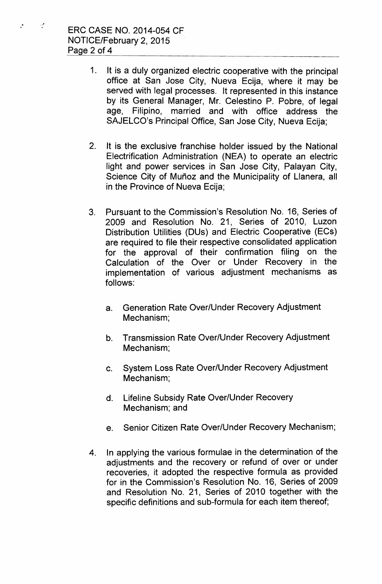$\sim$ 

р.

- 1. It is a duly organized electric cooperative with the principal office at San Jose City, Nueva Ecija, where it may be served with legal processes. It represented in this instance by its General Manager, Mr. Celestino P. Pobre, of legal age, Filipino, married and with office address the SAJELCO's Principal Office, San Jose City, Nueva Ecija;
- 2. It is the exclusive franchise holder issued by the National Electrification Administration (NEA) to operate an electric light and power services in San Jose City, Palayan City, Science City of Muñoz and the Municipality of Llanera, all in the Province of Nueva Ecija;
- 3. Pursuant to the Commission's Resolution No. 16, Series of 2009 and Resolution No. 21, Series of 2010, Luzon Distribution Utilities (DUs) and Electric Cooperative (ECs) are required to file their respective consolidated application for the approval of their confirmation filing on the Calculation of the Over or Under Recovery in the implementation of various adjustment mechanisms as follows:
	- a. Generation Rate Over/Under Recovery Adjustment Mechanism;
	- b. Transmission Rate Over/Under Recovery Adjustment Mechanism;
	- c. System Loss Rate Over/Under Recovery Adjustment Mechanism;
	- d. Lifeline Subsidy Rate Over/Under Recovery Mechanism; and
	- e. Senior Citizen Rate Over/Under Recovery Mechanism;
- 4. In applying the various formulae in the determination of the adjustments and the recovery or refund of over or under recoveries, it adopted the respective formula as provided for in the Commission's Resolution No. 16, Series of 2009 and Resolution No. 21, Series of 2010 together with the specific definitions and sub-formula for each item thereof;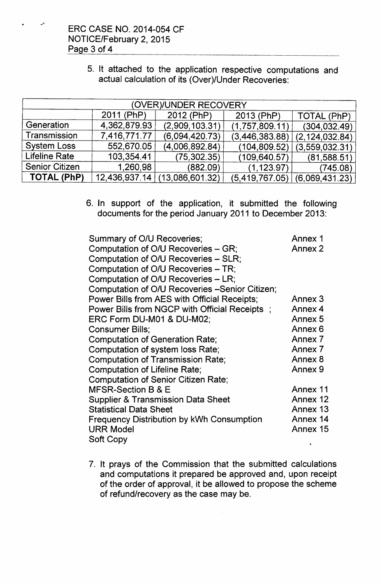,,;.

| 5. It attached to the application respective computations and<br>actual calculation of its (Over)/Under Recoveries: |
|---------------------------------------------------------------------------------------------------------------------|
| (OVER)/UNDER RECOVERY                                                                                               |

| (OVER)/UNDER RECOVERY |              |                               |                |                  |  |  |
|-----------------------|--------------|-------------------------------|----------------|------------------|--|--|
|                       | 2011 (PhP)   | 2012 (PhP)                    | 2013 (PhP)     | TOTAL (PhP)      |  |  |
| Generation            | 4,362,879.93 | (2,909,103.31)                | (1,757,809.11) | (304, 032.49)    |  |  |
| Transmission          | 7,416,771.77 | (6,094,420.73)                | (3,446,383.88) | (2, 124, 032.84) |  |  |
| <b>System Loss</b>    | 552,670.05   | (4,006,892.84)                | (104, 809.52)  | (3,559,032.31)   |  |  |
| <b>Lifeline Rate</b>  | 103,354.41   | (75, 302.35)                  | (109, 640.57)  | (81,588.51)      |  |  |
| <b>Senior Citizen</b> | 1,260,98     | (882.09)                      | (1, 123.97)    | (745.08)         |  |  |
| TOTAL (PhP)           |              | 12,436,937.14 (13,086,601.32) | (5,419,767.05) | (6,069,431.23)   |  |  |

6. In support of the application, it submitted the following documents for the period January 2011 to December 2013:

| Summary of O/U Recoveries;                      | Annex 1  |
|-------------------------------------------------|----------|
| Computation of O/U Recoveries - GR;             | Annex 2  |
| Computation of O/U Recoveries – SLR;            |          |
| Computation of O/U Recoveries – TR;             |          |
| Computation of O/U Recoveries - LR;             |          |
| Computation of O/U Recoveries - Senior Citizen; |          |
| Power Bills from AES with Official Receipts;    | Annex 3  |
| Power Bills from NGCP with Official Receipts;   | Annex 4  |
| ERC Form DU-M01 & DU-M02;                       | Annex 5  |
| Consumer Bills;                                 | Annex 6  |
| <b>Computation of Generation Rate;</b>          | Annex 7  |
| Computation of system loss Rate;                | Annex 7  |
| <b>Computation of Transmission Rate;</b>        | Annex 8  |
| <b>Computation of Lifeline Rate;</b>            | Annex 9  |
| <b>Computation of Senior Citizen Rate;</b>      |          |
| MFSR-Section B & E                              | Annex 11 |
| <b>Supplier &amp; Transmission Data Sheet</b>   | Annex 12 |
| <b>Statistical Data Sheet</b>                   | Annex 13 |
| Frequency Distribution by kWh Consumption       | Annex 14 |
| <b>URR Model</b>                                | Annex 15 |
| Soft Copy                                       |          |

7. It prays of the Commission that the submitted calculations and computations it prepared be approved and, upon receipt of the order of approval, it be allowed to propose the scheme of refund/recovery as the case may be.